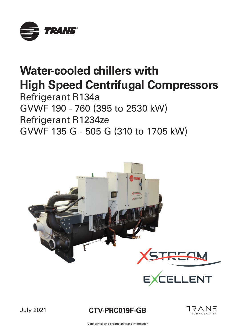

# **Water-cooled chillers with High Speed Centrifugal Compressors**

Refrigerant R134a GVWF 190 - 760 (395 to 2530 kW) Refrigerant R1234ze GVWF 135 G - 505 G (310 to 1705 kW)





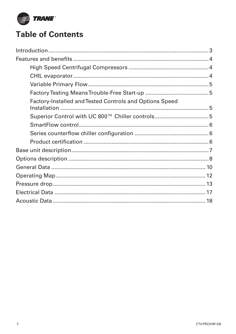

# **Table of Contents**

| <b>Factory-Installed and Tested Controls and Options Speed</b> |  |
|----------------------------------------------------------------|--|
|                                                                |  |
|                                                                |  |
|                                                                |  |
|                                                                |  |
|                                                                |  |
|                                                                |  |
|                                                                |  |
|                                                                |  |
|                                                                |  |
|                                                                |  |
|                                                                |  |
|                                                                |  |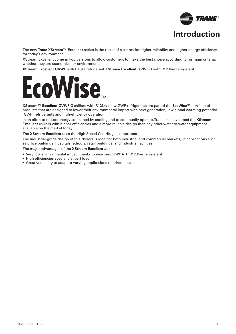

The new Trane XStream<sup>™</sup> Excellent series is the result of a search for higher reliability and higher energy efficiency, for today's environment.

XStream Excellent come in two versions to allow customers to make the best choice according to his main criteria, whether they are economical or environmental:

**XStream Excellent GVWF** with R134a refrigerant **XStream Excellent GVWF G** with R1234ze refrigerant



**XStream™ Excellent GVWF G** chillers with **R1234ze** low GWP refrigerants are part of the **EcoWise™** portfolio of products that are designed to lower their environmental impact with next-generation, low global warming potential (GWP) refrigerants and high-efficiency operation.

In an effort to reduce energy consumed by cooling and to continually operate, Trane has developed the **XStream Excellent** chillers with higher efficiencies and a more reliable design than any other water-to-water equipment available on the market today.

The **XStream Excellent** uses the High Speed Centrifugal compressors.

The industrial-grade design of this chillers is ideal for both industrial and commercial markets, in applications such as office buildings, hospitals, schools, retail buildings, and industrial facilities.

The major advantages of the **XStream Excellent** are:

- Very low environmental impact thanks to near zero GWP (<1) R1234ze refrigerant.
- High efficiencies specially at part load
- Great versatility to adapt to varying applications requirements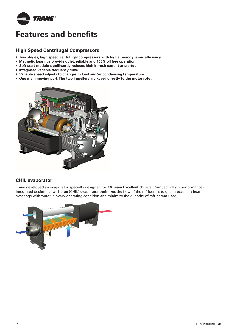

# **Features and benefits**

#### **High Speed Centrifugal Compressors**

- Two stages, high speed centrifugal compressors with higher aerodynamic efficiency
- **Magnetic bearings provide quiet, reliable and 100% oil free operation**
- Soft start module significantly reduces high in-rush current at startup
- **Integrated variable frequency drive**
- **Variable speed adjusts to changes in load and/or condensing temperature**
- **One main moving part. The two impellers are keyed directly to the motor rotor.**



#### **CHIL evaporator**

Trane developed an evaporator specially designed for **XStream Excellent** chillers. Compact - High performance - Integrated design - Low charge (CHIL) evaporator optimizes the flow of the refrigerant to get an excellent heat exchange with water in every operating condition and minimize the quantity of refrigerant used;

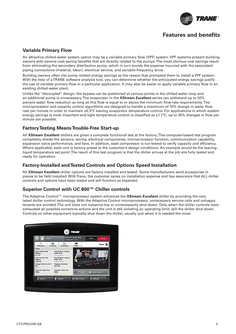

# **Features and benefits**

#### **Variable Primary Flow**

An attractive chilled-water system option may be a variable primary flow (VPF) system. VPF systems present building owners with several cost-saving benefits that are directly related to the pumps. The most obvious cost savings result from eliminating the secondary distribution pump, which in turn avoids the expense incurred with the associated piping connections (material, labor), electrical service, and variable-frequency drive.

Building owners often cite pump related energy savings as the reason that prompted them to install a VPF system. With the help of a TRANE software analysis tool, you can determine whether the anticipated energy savings justify the use of variable primary flow in a particular application. It may also be easier to apply variable primary flow in an existing chilled-water plant.

Unlike the "decoupled" design, the bypass can be positioned at various points in the chilled-water loop and an additional pump is unnecessary. The evaporator in the **XStream Excellent** series can withstand up to 50% percent water flow reduction as long as this flow is equal to or above the minimum flow-rate requirements. The microprocessor and capacity control algorithms are designed to handle a maximum of 10% change in water flow rate per minute in order to maintain ±0.3°C leaving evaporator temperature control. For applications in which system energy savings is most important and tight temperature control is classified as  $\pm 1.1^{\circ}$ C, up to 30% changes in flow per minute are possible.

#### **Factory Testing Means Trouble-Free Start-up**

All **XStream Excellent** chillers are given a complete functional test at the factory. This computer-based test program completely checks the sensors, wiring, electrical components, microprocessor function, communication capability, expansion valve performance, and fans. In addition, each compressor is run-tested to verify capacity and efficiency. Where applicable, each unit is factory preset to the customer's design conditions. An example would be the leavingliquid temperature set point. The result of this test program is that the chiller arrives at the job site fully tested and ready for operation.

#### **Factory-Installed and Tested Controls and Options Speed Installation**

All **XStream Excellent** chiller options are factory installed and tested. Some manufacturers send accessories in pieces to be field installed. With Trane, the customer saves on installation expense and has assurance that ALL chiller controls and options have been tested and will function as expected.

#### **Superior Control with UC 800™ Chiller controls**

The Adaptive Control™ microprocessor system enhances the **XStream Excellent** chiller by providing the very latest chiller control technology. With the Adaptive Control microprocessor, unnecessary service calls and unhappy tenants are avoided. The unit does not nuisance-trip or unnecessarily shut down. Only when the chiller controls have exhausted all possible corrective actions and the unit is still violating an operating limit, will the chiller shut down. Controls on other equipment typically shut down the chiller, usually just when it is needed the most.

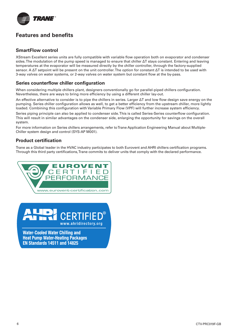

# **Features and benefits**

### **SmartFlow control**

XStream Excellent series units are fully compatible with variable flow operation both on evaporator and condenser sides. The modulation of the pump speed is managed to ensure that chiller ΔT stays constant. Entering and leaving temperatures at the evaporator will be measured directly by the chiller controller, through the factory-supplied sensor. A ΔT setpoint will be present on the unit controller. The option for constant ΔT is intended to be used with 3-way valves on water systems, or 2-way valves on water system but constant flow at the by-pass.

### **Series counterflow chiller configuration**

When considering multiple chillers plant, designers conventionally go for parallel-piped chillers configuration. Nevertheless, there are ways to bring more efficiency by using a different chiller lay-out.

An effective alternative to consider is to pipe the chillers in series. Larger ΔT and low flow design save energy on the pumping. Series chiller configuration allows as well, to get a better efficiency from the upstream chiller, more lightly loaded. Combining this configuration with Variable Primary Flow (VPF) will further increase system efficiency.

Series piping principle can also be applied to condenser side. This is called Series-Series counterflow configuration. This will result in similar advantages on the condenser side, enlarging the opportunity for savings on the overall system.

For more information on Series chillers arrangements, refer to Trane Application Engineering Manual about Multiple-Chiller system design and control (SYS-AP M001).

#### **Product certification**

Trane as a Global leader in the HVAC industry participates to both Eurovent and AHRI chillers certification programs. Through this third party certifications, Trane commits to deliver units that comply with the declared performance.



www.ahridirectory.org

**Water-Cooled Water Chilling and Heat Pump Water-Heating Packages EN Standards 14511 and 14825**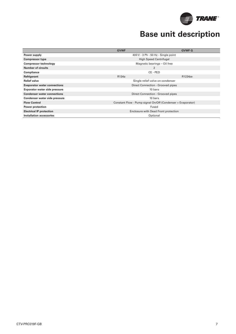

# **Base unit description**

|                                     | <b>GVWF</b>                                                 | <b>GVWF G</b> |  |  |  |  |  |
|-------------------------------------|-------------------------------------------------------------|---------------|--|--|--|--|--|
|                                     |                                                             |               |  |  |  |  |  |
| Power supply                        | 400 V - 3 Ph - 50 Hz - Single point                         |               |  |  |  |  |  |
| <b>Compressor type</b>              | <b>High Speed Centrifugal</b>                               |               |  |  |  |  |  |
| <b>Compressor technology</b>        | Magnetic bearings - Oil free                                |               |  |  |  |  |  |
| <b>Number of circuits</b>           | 2                                                           |               |  |  |  |  |  |
| Compliance                          | CE - PED                                                    |               |  |  |  |  |  |
| Refrigerant                         | R134a                                                       | R1234ze       |  |  |  |  |  |
| <b>Relief valve</b>                 | Single relief valve on condenser                            |               |  |  |  |  |  |
| <b>Evaporator water connections</b> | Direct Connection - Grooved pipes                           |               |  |  |  |  |  |
| Evporator water side pressure       | 10 bars                                                     |               |  |  |  |  |  |
| <b>Condenser water connections</b>  | Direct Connection - Grooved pipes                           |               |  |  |  |  |  |
| Condenser water side pressure       | 10 bars                                                     |               |  |  |  |  |  |
| <b>Flow Control</b>                 | Constant Flow - Pump signal On/Off (Condenser + Evaporator) |               |  |  |  |  |  |
| <b>Power protection</b>             | Fused                                                       |               |  |  |  |  |  |
| <b>Electrical IP protection</b>     | Enclosure with Dead Front protection                        |               |  |  |  |  |  |
| Installation accessories            | Optional                                                    |               |  |  |  |  |  |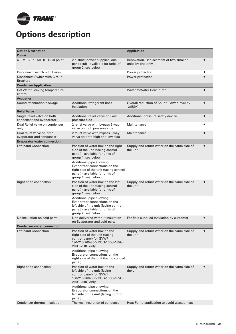

# **Options description**

| <b>Option Description</b><br><b>Power</b>               |                                                                                                                                                                                                                                                                                                  | <b>Application</b>                                                   |  |
|---------------------------------------------------------|--------------------------------------------------------------------------------------------------------------------------------------------------------------------------------------------------------------------------------------------------------------------------------------------------|----------------------------------------------------------------------|--|
| 400 V - 3 Ph - 50 Hz - Dual point                       | 2 distinct power supplies, one<br>per circuit - available for units of<br>group 2, see below                                                                                                                                                                                                     | Renovation. Replacement of two smaller<br>units by one only.         |  |
| Disconnect switch with Fuses                            |                                                                                                                                                                                                                                                                                                  | Power protection                                                     |  |
| Disconnect Switch with Circuit<br><b>Breakers</b>       |                                                                                                                                                                                                                                                                                                  | Power protection                                                     |  |
| <b>Condenser Application</b>                            |                                                                                                                                                                                                                                                                                                  |                                                                      |  |
| Hot Water Leaving temperature<br>control                |                                                                                                                                                                                                                                                                                                  | Water to Water Heat Pump                                             |  |
| <b>Acoustics</b>                                        |                                                                                                                                                                                                                                                                                                  |                                                                      |  |
| Sound attenuation package                               | Additional refrigerant lines<br>insulation                                                                                                                                                                                                                                                       | Overall reduction of Sound Power level by<br>$\bullet$<br>$-3dB(A)$  |  |
| <b>Relief Valve</b>                                     |                                                                                                                                                                                                                                                                                                  |                                                                      |  |
| Single relief Valve on both<br>condenser and evaporator | Additional relief valve on Low<br>pressure side                                                                                                                                                                                                                                                  | Additional pressure safety device<br>$\bullet$                       |  |
| Dual Relief valve on condenser<br>only                  | 2 relief valve with bypass 3 way<br>valve on high pressure side                                                                                                                                                                                                                                  | Maintenance                                                          |  |
| Dual relief Valve on both<br>evaporator and condenser   | 2 relief valve with bypass 3 way<br>valve on both high and low side                                                                                                                                                                                                                              | Maintenance                                                          |  |
| <b>Evaporator water connection</b>                      |                                                                                                                                                                                                                                                                                                  |                                                                      |  |
| Left hand Connection                                    | Position of water box on the right<br>side of the unit (facing control<br>panel) - available for units of<br>group 1, see below<br>Additional pipe allowing<br>Evaporator connections on the<br>right side of the unit (facing control<br>panel) - available for units of<br>group 2, see below) | $\bullet$<br>Supply and return water on the same side of<br>the unit |  |
| Right hand connection                                   | Position of water box on the left<br>side of the unit (facing control<br>panel) - available for units of<br>group 1, see below                                                                                                                                                                   | Supply and return water on the same side of<br>the unit              |  |
|                                                         | Additional pipe allowing<br>Evaporator connections on the<br>left side of the unit (facing control<br>panel) - available for units of<br>group 2, see below                                                                                                                                      |                                                                      |  |
| No insulation on cold parts                             | Unit delivered without insulation<br>on Evaporator and cold parts                                                                                                                                                                                                                                | For field supplied insulation by customer                            |  |
| <b>Condenser water connection</b>                       |                                                                                                                                                                                                                                                                                                  |                                                                      |  |
| Left hand Connection                                    | Position of water box on the<br>right side of the unit (facing<br>control panel) for GVWF<br>190-215-260-300-135G-160G-185G-<br>210G-250G only                                                                                                                                                   | Supply and return water on the same side of<br>the unit              |  |
|                                                         | Additional pipe allowing<br>Evaporator connections on the<br>right side of the unit (facing control<br>panel)                                                                                                                                                                                    |                                                                      |  |
| <b>Right hand connection</b>                            | Position of water box on the<br>left side of the unit (facing<br>control panel) for GVWF<br>190-215-260-300-135G-160G-185G-<br>210G-250G only                                                                                                                                                    | Supply and return water on the same side of<br>the unit              |  |
|                                                         | Additional pipe allowing<br>Evaporator connections on the<br>left side of the unit (facing control<br>panel)                                                                                                                                                                                     |                                                                      |  |
| Condenser thermal insulation                            | Thermal insulation of condenser                                                                                                                                                                                                                                                                  | Heat Pump application to avoid wasted heat                           |  |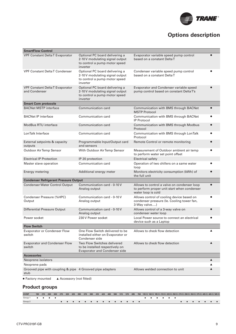

# **Options description**

| <b>SmartFlow Control</b>                                          |                                                                                                                |                                                                                                                  |                  |
|-------------------------------------------------------------------|----------------------------------------------------------------------------------------------------------------|------------------------------------------------------------------------------------------------------------------|------------------|
| <b>VPF Constant DeltaT Evaporator</b>                             | Optional PC board delivering a<br>2-10 V modulating signal output<br>to control a pump motor speed<br>inverter | Evaporator variable speed pump control<br>based on a constant DeltaT                                             |                  |
| <b>VPF Constant Delta T Condenser</b>                             | Optional PC board delivering a<br>2-10 V modulating signal output<br>to control a pump motor speed<br>inverter | Condenser variable speed pump control<br>based on a constant DeltaT                                              |                  |
| <b>VPF Constant Delta T Evaporator</b><br>and Condenser           | Optional PC board delivering a<br>2-10 V modulating signal output<br>to control a pump motor speed<br>inverter | Evaporator and Condenser variable speed<br>pump control based on constant DeltaT's                               | $\bullet$        |
| <b>Smart Com protocole</b>                                        |                                                                                                                |                                                                                                                  |                  |
| <b>BACNet MSTP interface</b>                                      | Communication card                                                                                             | Communication with BMS through BACNet<br><b>MSTP Protocol</b>                                                    | $\bullet$        |
| <b>BACNet IP interface</b>                                        | Communication card                                                                                             | Communication with BMS through BACNet<br><b>IP Protocol</b>                                                      | $\bullet$        |
| <b>ModBus RTU interface</b>                                       | <b>Communication card</b>                                                                                      | <b>Communication with BMS through Modbus</b><br>Protocol                                                         | $\bullet$        |
| LonTalk Interface                                                 | Communication card                                                                                             | Communication with BMS through LonTalk<br>Protocol                                                               |                  |
| External setpoints & capacity<br>outputs                          | Programmable Input/Output card<br>and sensors                                                                  | Remote Control or remote monitoring                                                                              |                  |
| Outdoor Air Temp Sensor                                           | With Outdoor Air Temp Sensor                                                                                   | Measurement of Outdoor ambient air temp<br>to perform water set point offset                                     |                  |
| <b>Electrical IP Protection</b>                                   | IP 20 protection                                                                                               | <b>Electrical safety</b>                                                                                         |                  |
| Master slave operation                                            | Communication card                                                                                             | Operation of two chillers on a same water<br>loop                                                                |                  |
| Energy metering                                                   | Additional energy meter                                                                                        | Monitors electricity consumption (kWh) of<br>the full unit                                                       |                  |
| <b>Condenser Refrigerant Pressure Output</b>                      |                                                                                                                |                                                                                                                  |                  |
| <b>Condenser Water Control Output</b>                             | Communication card - 0-10 V<br>Analog output                                                                   | Allows to control a valve on condenser loop<br>to perform proper unit start when condenser<br>water loop is cold | $\bullet$        |
| Condenser Pressure (%HPC)<br>Output                               | Communication card - 0-10 V<br>Analog output                                                                   | Allows control of cooling device based on<br>condenser pressure (le. Cooling tower fan,<br>3-Way valve)          | $\bullet$        |
| <b>Differential Pressure Output</b>                               | Communication card - 0-10 V<br>Analog output                                                                   | Allows control of a 3-way valve on<br>condenser water loop                                                       |                  |
| Power socket                                                      | 230 V Power socket                                                                                             | Local Power source to connect an electrical<br>device such as a Laptop                                           |                  |
| <b>Flow Switch</b>                                                |                                                                                                                |                                                                                                                  |                  |
| <b>Evaporator or Condenser Flow</b><br>switch                     | One Flow Switch delivered to be<br>installed either on Evaporator or<br>Condenser side                         | Allows to check flow detection                                                                                   | ▲                |
| <b>Evaporator and Condenser Flow</b><br>switch                    | Two Flow Switches delivered<br>to be installed respectively on<br><b>Evaporator and Condenser side</b>         | Allows to check flow detection                                                                                   | $\blacktriangle$ |
| <b>Accessories</b>                                                |                                                                                                                |                                                                                                                  |                  |
| Neoprene isolators                                                |                                                                                                                |                                                                                                                  | ▲                |
| Neoprene pads                                                     |                                                                                                                |                                                                                                                  |                  |
| Grooved pipe with coupling & pipe 4 Grooved pipe adapters<br>stub |                                                                                                                | Allows welded connection to unit                                                                                 | ▲                |
| • Factory mounted<br>▲ Accessory (not fitted)                     |                                                                                                                |                                                                                                                  |                  |

## **Product groups**

| <b>GVWF</b>                                     |  |  |  |  |          |  |  |  |  | 190 215 260 300 275 320 325 390 370 380 410 420 480 590 515 570 695 760 135G 160G 185G 210G 220G 250G 270G 290G 350G 375G 405G 465G 505G |  |  |  |  |  |  |   |
|-------------------------------------------------|--|--|--|--|----------|--|--|--|--|------------------------------------------------------------------------------------------------------------------------------------------|--|--|--|--|--|--|---|
| Group 1 $\bullet$ $\bullet$ $\bullet$ $\bullet$ |  |  |  |  |          |  |  |  |  | .                                                                                                                                        |  |  |  |  |  |  |   |
| Group 2                                         |  |  |  |  | <b>.</b> |  |  |  |  |                                                                                                                                          |  |  |  |  |  |  | . |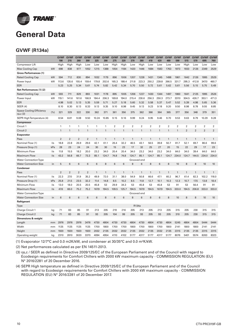

# **General Data**

## **GVWF (R134a)**

| High<br>High<br>Compressor Lift<br>High<br>High<br>High<br>High<br>Low<br>Low<br>High<br>Low<br>Low<br>Low<br>Low<br>Low<br>Low<br>Low<br>Low<br>Low<br>Max Cooling Cap<br>kW<br>698<br>838<br>1052<br>1388<br>1054<br>1184<br>1420<br>1446<br>1684<br>1583<br>1763<br>1973<br>1933<br>2349<br>2529<br>977<br>1215<br>2126<br>Gross Performances (1)<br>kW<br>594<br>830<br><b>Rated Cooling Cap</b><br>712<br>894<br>1032<br>1179<br>896<br>1006<br>1207<br>1228<br>1431<br>1345<br>1498<br>1861<br>1642<br>2126<br>1995<br>2529<br>347.0<br>460.7<br>kW<br>113.6<br>135.6<br>155.4<br>159.4<br>179.8<br>202.6<br>165.3<br>188.4<br>211.8<br>223.3<br>250.2<br>239.8<br>266.5<br>331.7<br>295.3<br>412.8<br>Power Input<br>5.23<br>5.34<br>5.82<br>5.61<br>EER<br>5.25<br>5.61<br>5.74<br>5.42<br>5.34<br>5.70<br>5.50<br>5.72<br>5.62<br>5.61<br>5.56<br>5.15<br>5.75<br>5.49<br>Net Performances (1) (2)<br>kW<br>593<br>711<br>829<br>893<br>1031<br>1178<br>895<br>1005<br>1206<br>1227<br>1430<br>1344<br>1497<br>1860<br>1641<br>2125<br>1995<br>2526<br><b>Rated Cooling Cap</b><br>119.1<br>166.9<br>184.4<br>206.3<br>169.8<br>194.0<br>215.4<br>230.6<br>256.3<br>250.3<br>273.7<br>337.0<br>304.5<br>426.7<br>353.1<br>471.3<br>Power Input<br>kW<br>141.6<br>161.6<br>EER<br>4.98<br>5.02<br>5.13<br>5.35<br>5.59<br>5.71<br>5.27<br>5.18<br>5.60<br>5.32<br>5.58<br>5.37<br>5.47<br>5.52<br>5.39<br>4.98<br>5.65<br>5.36<br><b>SEER (4)</b><br>8.10<br>8.30<br>8.33<br>8.98<br>9.45<br>9.23<br>9.18<br>9.20<br>9.50<br>8.98<br>8.78<br>9.55<br>8.85<br>8.13<br>9.13<br>9.35<br>9.10<br>9.13<br>Space Cooling Efficiency<br>(% )<br>321<br>329<br>322<br>330<br>362<br>371<br>361<br>356<br>375<br>362<br>366<br>364<br>365<br>377<br>356<br>348<br>379<br>351<br>ns,c(3)<br>SEPR High Temperature (4)<br>8.54<br>8.81<br>9.08<br>9.50<br>10.24<br>10.85<br>9.15<br>9.16<br>9.99<br>9.24<br>9.95<br>9.46<br>9.70<br>9.53<br>9.63<br>8.79<br>10.29<br>9.28<br><b>Compressor</b><br>Circuit 1<br>$\overline{2}$<br>$\overline{2}$<br>2<br>$\overline{2}$<br>$\overline{2}$<br>2<br>$\overline{\mathbf{c}}$<br>$\overline{2}$<br>$\overline{2}$<br>2<br>$\overline{\mathbf{c}}$<br>$\overline{2}$<br>1<br>1<br>1<br>1<br>1<br>1<br>$\overline{2}$<br>$\overline{2}$<br>Circuit 2<br>1<br>$\mathbf{1}$<br>$\mathbf{1}$<br>$\mathbf{1}$<br>$\mathbf{1}$<br>1<br>$\mathbf{1}$<br>$\overline{1}$<br>$\overline{2}$<br>$\overline{2}$<br>$\mathbf{1}$<br>1<br>$\mathbf{1}$<br>$\mathbf{1}$<br>$\mathbf{1}$<br>1<br>Evaporator<br>$\overline{2}$<br>$\overline{2}$<br>2<br>$\overline{2}$<br>$\mathbf{1}$<br>$\mathbf{1}$<br>$\mathbf{1}$<br>$\mathbf{1}$<br>1<br>$\mathbf{1}$<br>$\overline{1}$<br>$\mathbf{1}$<br>$\mathbf{1}$<br>$\mathbf{1}$<br>$\mathbf{1}$<br>1<br>$\mathbf{1}$<br>$\mathbf{1}$<br>Pass<br>18.8<br>22.8<br>26.9<br>29.6<br>42.1<br>26.4<br>32.2<br>43.1<br>56.5<br>39.8<br>50.7<br>81.7<br>52.1<br>69.7<br>86.6<br>99.6<br>Nominal Flow (1)<br>$\mathsf{l}/\mathsf{s}$<br>61.1<br>46.5<br>kPa<br>28<br>Pressure Drop (1)<br>23<br>24<br>24<br>30<br>30<br>15<br>23<br>17<br>32<br>25<br>27<br>20<br>15<br>22<br>29<br>17<br>23<br>$\sqrt{s}$<br>11.8<br>15.5<br>18.2<br>20.0<br>23.2<br>34.0<br>20.4<br>20.4<br>34.0<br>23.2<br>34.0<br>23.2<br>34.0<br>64.0<br>34.0<br>39.4<br>64.0<br>64.0<br><b>Minimum Flow</b><br>43.2<br>66.7<br>73.3<br>85.1<br>74.8<br>85.1<br>234.0<br>234.0<br><b>Maximum Flow</b><br>$\sqrt{s}$<br>56.8<br>124.7<br>74.8<br>124.7<br>124.7<br>85.1<br>124.7<br>124.7<br>144.5<br>234.0<br><b>Water Connection Type</b><br>Grooved end<br><b>Water Connection Size</b><br>6<br>6<br>8<br>8<br>6<br>6<br>8<br>8<br>8<br>10<br>5<br>6<br>6<br>6<br>6<br>8<br>10<br>10<br>in<br>Condenser<br>$\overline{2}$<br>$\overline{2}$<br>$\overline{2}$<br>$\overline{2}$<br>$\mathbf{1}$<br>$\mathbf{1}$<br>$\mathbf{1}$<br>$\mathbf{1}$<br>$\mathbf{1}$<br>$\mathbf{1}$<br>$\mathbf{1}$<br>$\mathbf{1}$<br>$\mathbf{1}$<br>$\mathbf{1}$<br>$\mathbf{1}$<br>$\mathbf{1}$<br>$\mathbf{1}$<br>$\mathbf{1}$<br>Pass<br>22.3<br>27.0<br>31.9<br>35.2<br>49.9<br>72.0<br>31.1<br>38.0<br>54.9<br>50.8<br>66.6<br>47.1<br>60.2<br>96.7<br>61.4<br>82.3<br>102.2<br>118.0<br>Nominal Flow (1)<br>$\mathsf{l}/\mathsf{s}$<br>kPa<br>25.8<br>32.2<br>17.5<br>Pressure Drop (1)<br>21.5<br>23.5<br>11.4<br>14.8<br>8.5<br>10.2<br>8.5<br>11.8<br>12.7<br>10.1<br>10.3<br>12.3<br>10.7<br>13.8<br>18.4<br>29.9<br>45.8<br>56.4<br>13.0<br>18.0<br>20.5<br>20.5<br>45.8<br>53<br>34.3<br>53<br>53<br>45.8<br>53<br>91<br>53<br>91<br>91<br><b>Minimum Flow</b><br>$\mathsf{l}/\mathsf{s}$<br>167.9<br>333.0<br><b>Maximum Flow</b><br>$\sqrt{s}$<br>47.6<br>66.0<br>75.2<br>75.2<br>167.9<br>194.5<br>109.5<br>125.7<br>194.5<br>194.5<br>167.9<br>194.5<br>333.0<br>194.5<br>206.8<br>333.0<br><b>Water Connection Type</b><br>Grooved end<br>8<br><b>Water Connection Size</b><br>6<br>6<br>6<br>6<br>6<br>8<br>6<br>6<br>6<br>8<br>6<br>8<br>10<br>8<br>8<br>10<br>10<br>in<br>Refrigerant<br>R134a<br>Type<br>71<br>213<br>205<br>216<br>205<br>213<br>205<br>205<br>230<br>315<br>Charge Circuit 1<br>83<br>85<br>91<br>219<br>213<br>205<br>315<br>315<br>kg<br>83<br>85<br>91<br>93<br>205<br>104<br>99<br>205<br>93<br>205<br>93<br>205<br>230<br><b>Charge Circuit 2</b><br>71<br>310<br>205<br>315<br>315<br>kg<br>Dimensions & weight<br>2976<br>2976<br>2976<br>3476<br>4730<br>4804<br>4730<br>4730<br>4804<br>4730<br>4804<br>4730<br>4804<br>5245<br>4804<br>4804<br>5444<br>5444<br>Length<br>mm<br>Width<br>1800<br>1800<br>1800<br>1800<br>1125<br>1125<br>1125<br>1125<br>1700<br>1700<br>1700<br>1700<br>1700<br>1800<br>2141<br>1800<br>2141<br>2141<br>mm |  | <b>GVWF</b><br>190 | <b>GVWF</b><br>215 | <b>GVWF</b><br>260 | <b>GVWF</b><br>300 | <b>GVWF</b><br>325 | <b>GVWF</b><br>390 | <b>GVWF</b><br>275 | <b>GVWF</b><br>320 | <b>GVWF</b><br>370 | <b>GVWF</b><br>380 | <b>GVWF</b><br>410 | <b>GVWF</b><br>420 | <b>GVWF</b><br>480 | <b>GVWF</b><br>590 | <b>GVWF</b><br>515 | <b>GVWF</b><br>570 | <b>GVWF</b><br>695 | <b>GVWF</b><br>760 |
|---------------------------------------------------------------------------------------------------------------------------------------------------------------------------------------------------------------------------------------------------------------------------------------------------------------------------------------------------------------------------------------------------------------------------------------------------------------------------------------------------------------------------------------------------------------------------------------------------------------------------------------------------------------------------------------------------------------------------------------------------------------------------------------------------------------------------------------------------------------------------------------------------------------------------------------------------------------------------------------------------------------------------------------------------------------------------------------------------------------------------------------------------------------------------------------------------------------------------------------------------------------------------------------------------------------------------------------------------------------------------------------------------------------------------------------------------------------------------------------------------------------------------------------------------------------------------------------------------------------------------------------------------------------------------------------------------------------------------------------------------------------------------------------------------------------------------------------------------------------------------------------------------------------------------------------------------------------------------------------------------------------------------------------------------------------------------------------------------------------------------------------------------------------------------------------------------------------------------------------------------------------------------------------------------------------------------------------------------------------------------------------------------------------------------------------------------------------------------------------------------------------------------------------------------------------------------------------------------------------------------------------------------------------------------------------------------------------------------------------------------------------------------------------------------------------------------------------------------------------------------------------------------------------------------------------------------------------------------------------------------------------------------------------------------------------------------------------------------------------------------------------------------------------------------------------------------------------------------------------------------------------------------------------------------------------------------------------------------------------------------------------------------------------------------------------------------------------------------------------------------------------------------------------------------------------------------------------------------------------------------------------------------------------------------------------------------------------------------------------------------------------------------------------------------------------------------------------------------------------------------------------------------------------------------------------------------------------------------------------------------------------------------------------------------------------------------------------------------------------------------------------------------------------------------------------------------------------------------------------------------------------------------------------------------------------------------------------------------------------------------------------------------------------------------------------------------------------------------------------------------------------------------------------------------------------------------------------------------------------------------------------------------------------------------------------------------------------------------------------------------------------------------------------------------------------------------------------------------------------------------------------------------------------------------------------------------------------------------------------------------------------------------------------------------------------------------------------------------------------------------------------------------------------------------------------------------------------------------------------------------------------------------------------------------------------------------------------------------------------------------------------------------------------------------------------------------------------------------------------------------------------------------------------------------------------------------------------------------------------------------------------------------------------------------------------------------------------|--|--------------------|--------------------|--------------------|--------------------|--------------------|--------------------|--------------------|--------------------|--------------------|--------------------|--------------------|--------------------|--------------------|--------------------|--------------------|--------------------|--------------------|--------------------|
|                                                                                                                                                                                                                                                                                                                                                                                                                                                                                                                                                                                                                                                                                                                                                                                                                                                                                                                                                                                                                                                                                                                                                                                                                                                                                                                                                                                                                                                                                                                                                                                                                                                                                                                                                                                                                                                                                                                                                                                                                                                                                                                                                                                                                                                                                                                                                                                                                                                                                                                                                                                                                                                                                                                                                                                                                                                                                                                                                                                                                                                                                                                                                                                                                                                                                                                                                                                                                                                                                                                                                                                                                                                                                                                                                                                                                                                                                                                                                                                                                                                                                                                                                                                                                                                                                                                                                                                                                                                                                                                                                                                                                                                                                                                                                                                                                                                                                                                                                                                                                                                                                                                                                                                                                                                                                                                                                                                                                                                                                                                                                                                                                                                                                                               |  |                    |                    |                    |                    |                    |                    |                    |                    |                    |                    |                    |                    |                    |                    |                    |                    |                    |                    |
|                                                                                                                                                                                                                                                                                                                                                                                                                                                                                                                                                                                                                                                                                                                                                                                                                                                                                                                                                                                                                                                                                                                                                                                                                                                                                                                                                                                                                                                                                                                                                                                                                                                                                                                                                                                                                                                                                                                                                                                                                                                                                                                                                                                                                                                                                                                                                                                                                                                                                                                                                                                                                                                                                                                                                                                                                                                                                                                                                                                                                                                                                                                                                                                                                                                                                                                                                                                                                                                                                                                                                                                                                                                                                                                                                                                                                                                                                                                                                                                                                                                                                                                                                                                                                                                                                                                                                                                                                                                                                                                                                                                                                                                                                                                                                                                                                                                                                                                                                                                                                                                                                                                                                                                                                                                                                                                                                                                                                                                                                                                                                                                                                                                                                                               |  |                    |                    |                    |                    |                    |                    |                    |                    |                    |                    |                    |                    |                    |                    |                    |                    |                    |                    |
|                                                                                                                                                                                                                                                                                                                                                                                                                                                                                                                                                                                                                                                                                                                                                                                                                                                                                                                                                                                                                                                                                                                                                                                                                                                                                                                                                                                                                                                                                                                                                                                                                                                                                                                                                                                                                                                                                                                                                                                                                                                                                                                                                                                                                                                                                                                                                                                                                                                                                                                                                                                                                                                                                                                                                                                                                                                                                                                                                                                                                                                                                                                                                                                                                                                                                                                                                                                                                                                                                                                                                                                                                                                                                                                                                                                                                                                                                                                                                                                                                                                                                                                                                                                                                                                                                                                                                                                                                                                                                                                                                                                                                                                                                                                                                                                                                                                                                                                                                                                                                                                                                                                                                                                                                                                                                                                                                                                                                                                                                                                                                                                                                                                                                                               |  |                    |                    |                    |                    |                    |                    |                    |                    |                    |                    |                    |                    |                    |                    |                    |                    |                    |                    |
|                                                                                                                                                                                                                                                                                                                                                                                                                                                                                                                                                                                                                                                                                                                                                                                                                                                                                                                                                                                                                                                                                                                                                                                                                                                                                                                                                                                                                                                                                                                                                                                                                                                                                                                                                                                                                                                                                                                                                                                                                                                                                                                                                                                                                                                                                                                                                                                                                                                                                                                                                                                                                                                                                                                                                                                                                                                                                                                                                                                                                                                                                                                                                                                                                                                                                                                                                                                                                                                                                                                                                                                                                                                                                                                                                                                                                                                                                                                                                                                                                                                                                                                                                                                                                                                                                                                                                                                                                                                                                                                                                                                                                                                                                                                                                                                                                                                                                                                                                                                                                                                                                                                                                                                                                                                                                                                                                                                                                                                                                                                                                                                                                                                                                                               |  |                    |                    |                    |                    |                    |                    |                    |                    |                    |                    |                    |                    |                    |                    |                    |                    |                    |                    |
|                                                                                                                                                                                                                                                                                                                                                                                                                                                                                                                                                                                                                                                                                                                                                                                                                                                                                                                                                                                                                                                                                                                                                                                                                                                                                                                                                                                                                                                                                                                                                                                                                                                                                                                                                                                                                                                                                                                                                                                                                                                                                                                                                                                                                                                                                                                                                                                                                                                                                                                                                                                                                                                                                                                                                                                                                                                                                                                                                                                                                                                                                                                                                                                                                                                                                                                                                                                                                                                                                                                                                                                                                                                                                                                                                                                                                                                                                                                                                                                                                                                                                                                                                                                                                                                                                                                                                                                                                                                                                                                                                                                                                                                                                                                                                                                                                                                                                                                                                                                                                                                                                                                                                                                                                                                                                                                                                                                                                                                                                                                                                                                                                                                                                                               |  |                    |                    |                    |                    |                    |                    |                    |                    |                    |                    |                    |                    |                    |                    |                    |                    |                    |                    |
|                                                                                                                                                                                                                                                                                                                                                                                                                                                                                                                                                                                                                                                                                                                                                                                                                                                                                                                                                                                                                                                                                                                                                                                                                                                                                                                                                                                                                                                                                                                                                                                                                                                                                                                                                                                                                                                                                                                                                                                                                                                                                                                                                                                                                                                                                                                                                                                                                                                                                                                                                                                                                                                                                                                                                                                                                                                                                                                                                                                                                                                                                                                                                                                                                                                                                                                                                                                                                                                                                                                                                                                                                                                                                                                                                                                                                                                                                                                                                                                                                                                                                                                                                                                                                                                                                                                                                                                                                                                                                                                                                                                                                                                                                                                                                                                                                                                                                                                                                                                                                                                                                                                                                                                                                                                                                                                                                                                                                                                                                                                                                                                                                                                                                                               |  |                    |                    |                    |                    |                    |                    |                    |                    |                    |                    |                    |                    |                    |                    |                    |                    |                    |                    |
|                                                                                                                                                                                                                                                                                                                                                                                                                                                                                                                                                                                                                                                                                                                                                                                                                                                                                                                                                                                                                                                                                                                                                                                                                                                                                                                                                                                                                                                                                                                                                                                                                                                                                                                                                                                                                                                                                                                                                                                                                                                                                                                                                                                                                                                                                                                                                                                                                                                                                                                                                                                                                                                                                                                                                                                                                                                                                                                                                                                                                                                                                                                                                                                                                                                                                                                                                                                                                                                                                                                                                                                                                                                                                                                                                                                                                                                                                                                                                                                                                                                                                                                                                                                                                                                                                                                                                                                                                                                                                                                                                                                                                                                                                                                                                                                                                                                                                                                                                                                                                                                                                                                                                                                                                                                                                                                                                                                                                                                                                                                                                                                                                                                                                                               |  |                    |                    |                    |                    |                    |                    |                    |                    |                    |                    |                    |                    |                    |                    |                    |                    |                    |                    |
|                                                                                                                                                                                                                                                                                                                                                                                                                                                                                                                                                                                                                                                                                                                                                                                                                                                                                                                                                                                                                                                                                                                                                                                                                                                                                                                                                                                                                                                                                                                                                                                                                                                                                                                                                                                                                                                                                                                                                                                                                                                                                                                                                                                                                                                                                                                                                                                                                                                                                                                                                                                                                                                                                                                                                                                                                                                                                                                                                                                                                                                                                                                                                                                                                                                                                                                                                                                                                                                                                                                                                                                                                                                                                                                                                                                                                                                                                                                                                                                                                                                                                                                                                                                                                                                                                                                                                                                                                                                                                                                                                                                                                                                                                                                                                                                                                                                                                                                                                                                                                                                                                                                                                                                                                                                                                                                                                                                                                                                                                                                                                                                                                                                                                                               |  |                    |                    |                    |                    |                    |                    |                    |                    |                    |                    |                    |                    |                    |                    |                    |                    |                    |                    |
|                                                                                                                                                                                                                                                                                                                                                                                                                                                                                                                                                                                                                                                                                                                                                                                                                                                                                                                                                                                                                                                                                                                                                                                                                                                                                                                                                                                                                                                                                                                                                                                                                                                                                                                                                                                                                                                                                                                                                                                                                                                                                                                                                                                                                                                                                                                                                                                                                                                                                                                                                                                                                                                                                                                                                                                                                                                                                                                                                                                                                                                                                                                                                                                                                                                                                                                                                                                                                                                                                                                                                                                                                                                                                                                                                                                                                                                                                                                                                                                                                                                                                                                                                                                                                                                                                                                                                                                                                                                                                                                                                                                                                                                                                                                                                                                                                                                                                                                                                                                                                                                                                                                                                                                                                                                                                                                                                                                                                                                                                                                                                                                                                                                                                                               |  |                    |                    |                    |                    |                    |                    |                    |                    |                    |                    |                    |                    |                    |                    |                    |                    |                    |                    |
|                                                                                                                                                                                                                                                                                                                                                                                                                                                                                                                                                                                                                                                                                                                                                                                                                                                                                                                                                                                                                                                                                                                                                                                                                                                                                                                                                                                                                                                                                                                                                                                                                                                                                                                                                                                                                                                                                                                                                                                                                                                                                                                                                                                                                                                                                                                                                                                                                                                                                                                                                                                                                                                                                                                                                                                                                                                                                                                                                                                                                                                                                                                                                                                                                                                                                                                                                                                                                                                                                                                                                                                                                                                                                                                                                                                                                                                                                                                                                                                                                                                                                                                                                                                                                                                                                                                                                                                                                                                                                                                                                                                                                                                                                                                                                                                                                                                                                                                                                                                                                                                                                                                                                                                                                                                                                                                                                                                                                                                                                                                                                                                                                                                                                                               |  |                    |                    |                    |                    |                    |                    |                    |                    |                    |                    |                    |                    |                    |                    |                    |                    |                    |                    |
|                                                                                                                                                                                                                                                                                                                                                                                                                                                                                                                                                                                                                                                                                                                                                                                                                                                                                                                                                                                                                                                                                                                                                                                                                                                                                                                                                                                                                                                                                                                                                                                                                                                                                                                                                                                                                                                                                                                                                                                                                                                                                                                                                                                                                                                                                                                                                                                                                                                                                                                                                                                                                                                                                                                                                                                                                                                                                                                                                                                                                                                                                                                                                                                                                                                                                                                                                                                                                                                                                                                                                                                                                                                                                                                                                                                                                                                                                                                                                                                                                                                                                                                                                                                                                                                                                                                                                                                                                                                                                                                                                                                                                                                                                                                                                                                                                                                                                                                                                                                                                                                                                                                                                                                                                                                                                                                                                                                                                                                                                                                                                                                                                                                                                                               |  |                    |                    |                    |                    |                    |                    |                    |                    |                    |                    |                    |                    |                    |                    |                    |                    |                    |                    |
|                                                                                                                                                                                                                                                                                                                                                                                                                                                                                                                                                                                                                                                                                                                                                                                                                                                                                                                                                                                                                                                                                                                                                                                                                                                                                                                                                                                                                                                                                                                                                                                                                                                                                                                                                                                                                                                                                                                                                                                                                                                                                                                                                                                                                                                                                                                                                                                                                                                                                                                                                                                                                                                                                                                                                                                                                                                                                                                                                                                                                                                                                                                                                                                                                                                                                                                                                                                                                                                                                                                                                                                                                                                                                                                                                                                                                                                                                                                                                                                                                                                                                                                                                                                                                                                                                                                                                                                                                                                                                                                                                                                                                                                                                                                                                                                                                                                                                                                                                                                                                                                                                                                                                                                                                                                                                                                                                                                                                                                                                                                                                                                                                                                                                                               |  |                    |                    |                    |                    |                    |                    |                    |                    |                    |                    |                    |                    |                    |                    |                    |                    |                    |                    |
|                                                                                                                                                                                                                                                                                                                                                                                                                                                                                                                                                                                                                                                                                                                                                                                                                                                                                                                                                                                                                                                                                                                                                                                                                                                                                                                                                                                                                                                                                                                                                                                                                                                                                                                                                                                                                                                                                                                                                                                                                                                                                                                                                                                                                                                                                                                                                                                                                                                                                                                                                                                                                                                                                                                                                                                                                                                                                                                                                                                                                                                                                                                                                                                                                                                                                                                                                                                                                                                                                                                                                                                                                                                                                                                                                                                                                                                                                                                                                                                                                                                                                                                                                                                                                                                                                                                                                                                                                                                                                                                                                                                                                                                                                                                                                                                                                                                                                                                                                                                                                                                                                                                                                                                                                                                                                                                                                                                                                                                                                                                                                                                                                                                                                                               |  |                    |                    |                    |                    |                    |                    |                    |                    |                    |                    |                    |                    |                    |                    |                    |                    |                    |                    |
|                                                                                                                                                                                                                                                                                                                                                                                                                                                                                                                                                                                                                                                                                                                                                                                                                                                                                                                                                                                                                                                                                                                                                                                                                                                                                                                                                                                                                                                                                                                                                                                                                                                                                                                                                                                                                                                                                                                                                                                                                                                                                                                                                                                                                                                                                                                                                                                                                                                                                                                                                                                                                                                                                                                                                                                                                                                                                                                                                                                                                                                                                                                                                                                                                                                                                                                                                                                                                                                                                                                                                                                                                                                                                                                                                                                                                                                                                                                                                                                                                                                                                                                                                                                                                                                                                                                                                                                                                                                                                                                                                                                                                                                                                                                                                                                                                                                                                                                                                                                                                                                                                                                                                                                                                                                                                                                                                                                                                                                                                                                                                                                                                                                                                                               |  |                    |                    |                    |                    |                    |                    |                    |                    |                    |                    |                    |                    |                    |                    |                    |                    |                    |                    |
|                                                                                                                                                                                                                                                                                                                                                                                                                                                                                                                                                                                                                                                                                                                                                                                                                                                                                                                                                                                                                                                                                                                                                                                                                                                                                                                                                                                                                                                                                                                                                                                                                                                                                                                                                                                                                                                                                                                                                                                                                                                                                                                                                                                                                                                                                                                                                                                                                                                                                                                                                                                                                                                                                                                                                                                                                                                                                                                                                                                                                                                                                                                                                                                                                                                                                                                                                                                                                                                                                                                                                                                                                                                                                                                                                                                                                                                                                                                                                                                                                                                                                                                                                                                                                                                                                                                                                                                                                                                                                                                                                                                                                                                                                                                                                                                                                                                                                                                                                                                                                                                                                                                                                                                                                                                                                                                                                                                                                                                                                                                                                                                                                                                                                                               |  |                    |                    |                    |                    |                    |                    |                    |                    |                    |                    |                    |                    |                    |                    |                    |                    |                    |                    |
|                                                                                                                                                                                                                                                                                                                                                                                                                                                                                                                                                                                                                                                                                                                                                                                                                                                                                                                                                                                                                                                                                                                                                                                                                                                                                                                                                                                                                                                                                                                                                                                                                                                                                                                                                                                                                                                                                                                                                                                                                                                                                                                                                                                                                                                                                                                                                                                                                                                                                                                                                                                                                                                                                                                                                                                                                                                                                                                                                                                                                                                                                                                                                                                                                                                                                                                                                                                                                                                                                                                                                                                                                                                                                                                                                                                                                                                                                                                                                                                                                                                                                                                                                                                                                                                                                                                                                                                                                                                                                                                                                                                                                                                                                                                                                                                                                                                                                                                                                                                                                                                                                                                                                                                                                                                                                                                                                                                                                                                                                                                                                                                                                                                                                                               |  |                    |                    |                    |                    |                    |                    |                    |                    |                    |                    |                    |                    |                    |                    |                    |                    |                    |                    |
|                                                                                                                                                                                                                                                                                                                                                                                                                                                                                                                                                                                                                                                                                                                                                                                                                                                                                                                                                                                                                                                                                                                                                                                                                                                                                                                                                                                                                                                                                                                                                                                                                                                                                                                                                                                                                                                                                                                                                                                                                                                                                                                                                                                                                                                                                                                                                                                                                                                                                                                                                                                                                                                                                                                                                                                                                                                                                                                                                                                                                                                                                                                                                                                                                                                                                                                                                                                                                                                                                                                                                                                                                                                                                                                                                                                                                                                                                                                                                                                                                                                                                                                                                                                                                                                                                                                                                                                                                                                                                                                                                                                                                                                                                                                                                                                                                                                                                                                                                                                                                                                                                                                                                                                                                                                                                                                                                                                                                                                                                                                                                                                                                                                                                                               |  |                    |                    |                    |                    |                    |                    |                    |                    |                    |                    |                    |                    |                    |                    |                    |                    |                    |                    |
|                                                                                                                                                                                                                                                                                                                                                                                                                                                                                                                                                                                                                                                                                                                                                                                                                                                                                                                                                                                                                                                                                                                                                                                                                                                                                                                                                                                                                                                                                                                                                                                                                                                                                                                                                                                                                                                                                                                                                                                                                                                                                                                                                                                                                                                                                                                                                                                                                                                                                                                                                                                                                                                                                                                                                                                                                                                                                                                                                                                                                                                                                                                                                                                                                                                                                                                                                                                                                                                                                                                                                                                                                                                                                                                                                                                                                                                                                                                                                                                                                                                                                                                                                                                                                                                                                                                                                                                                                                                                                                                                                                                                                                                                                                                                                                                                                                                                                                                                                                                                                                                                                                                                                                                                                                                                                                                                                                                                                                                                                                                                                                                                                                                                                                               |  |                    |                    |                    |                    |                    |                    |                    |                    |                    |                    |                    |                    |                    |                    |                    |                    |                    |                    |
|                                                                                                                                                                                                                                                                                                                                                                                                                                                                                                                                                                                                                                                                                                                                                                                                                                                                                                                                                                                                                                                                                                                                                                                                                                                                                                                                                                                                                                                                                                                                                                                                                                                                                                                                                                                                                                                                                                                                                                                                                                                                                                                                                                                                                                                                                                                                                                                                                                                                                                                                                                                                                                                                                                                                                                                                                                                                                                                                                                                                                                                                                                                                                                                                                                                                                                                                                                                                                                                                                                                                                                                                                                                                                                                                                                                                                                                                                                                                                                                                                                                                                                                                                                                                                                                                                                                                                                                                                                                                                                                                                                                                                                                                                                                                                                                                                                                                                                                                                                                                                                                                                                                                                                                                                                                                                                                                                                                                                                                                                                                                                                                                                                                                                                               |  |                    |                    |                    |                    |                    |                    |                    |                    |                    |                    |                    |                    |                    |                    |                    |                    |                    |                    |
|                                                                                                                                                                                                                                                                                                                                                                                                                                                                                                                                                                                                                                                                                                                                                                                                                                                                                                                                                                                                                                                                                                                                                                                                                                                                                                                                                                                                                                                                                                                                                                                                                                                                                                                                                                                                                                                                                                                                                                                                                                                                                                                                                                                                                                                                                                                                                                                                                                                                                                                                                                                                                                                                                                                                                                                                                                                                                                                                                                                                                                                                                                                                                                                                                                                                                                                                                                                                                                                                                                                                                                                                                                                                                                                                                                                                                                                                                                                                                                                                                                                                                                                                                                                                                                                                                                                                                                                                                                                                                                                                                                                                                                                                                                                                                                                                                                                                                                                                                                                                                                                                                                                                                                                                                                                                                                                                                                                                                                                                                                                                                                                                                                                                                                               |  |                    |                    |                    |                    |                    |                    |                    |                    |                    |                    |                    |                    |                    |                    |                    |                    |                    |                    |
|                                                                                                                                                                                                                                                                                                                                                                                                                                                                                                                                                                                                                                                                                                                                                                                                                                                                                                                                                                                                                                                                                                                                                                                                                                                                                                                                                                                                                                                                                                                                                                                                                                                                                                                                                                                                                                                                                                                                                                                                                                                                                                                                                                                                                                                                                                                                                                                                                                                                                                                                                                                                                                                                                                                                                                                                                                                                                                                                                                                                                                                                                                                                                                                                                                                                                                                                                                                                                                                                                                                                                                                                                                                                                                                                                                                                                                                                                                                                                                                                                                                                                                                                                                                                                                                                                                                                                                                                                                                                                                                                                                                                                                                                                                                                                                                                                                                                                                                                                                                                                                                                                                                                                                                                                                                                                                                                                                                                                                                                                                                                                                                                                                                                                                               |  |                    |                    |                    |                    |                    |                    |                    |                    |                    |                    |                    |                    |                    |                    |                    |                    |                    |                    |
|                                                                                                                                                                                                                                                                                                                                                                                                                                                                                                                                                                                                                                                                                                                                                                                                                                                                                                                                                                                                                                                                                                                                                                                                                                                                                                                                                                                                                                                                                                                                                                                                                                                                                                                                                                                                                                                                                                                                                                                                                                                                                                                                                                                                                                                                                                                                                                                                                                                                                                                                                                                                                                                                                                                                                                                                                                                                                                                                                                                                                                                                                                                                                                                                                                                                                                                                                                                                                                                                                                                                                                                                                                                                                                                                                                                                                                                                                                                                                                                                                                                                                                                                                                                                                                                                                                                                                                                                                                                                                                                                                                                                                                                                                                                                                                                                                                                                                                                                                                                                                                                                                                                                                                                                                                                                                                                                                                                                                                                                                                                                                                                                                                                                                                               |  |                    |                    |                    |                    |                    |                    |                    |                    |                    |                    |                    |                    |                    |                    |                    |                    |                    |                    |
|                                                                                                                                                                                                                                                                                                                                                                                                                                                                                                                                                                                                                                                                                                                                                                                                                                                                                                                                                                                                                                                                                                                                                                                                                                                                                                                                                                                                                                                                                                                                                                                                                                                                                                                                                                                                                                                                                                                                                                                                                                                                                                                                                                                                                                                                                                                                                                                                                                                                                                                                                                                                                                                                                                                                                                                                                                                                                                                                                                                                                                                                                                                                                                                                                                                                                                                                                                                                                                                                                                                                                                                                                                                                                                                                                                                                                                                                                                                                                                                                                                                                                                                                                                                                                                                                                                                                                                                                                                                                                                                                                                                                                                                                                                                                                                                                                                                                                                                                                                                                                                                                                                                                                                                                                                                                                                                                                                                                                                                                                                                                                                                                                                                                                                               |  |                    |                    |                    |                    |                    |                    |                    |                    |                    |                    |                    |                    |                    |                    |                    |                    |                    |                    |
|                                                                                                                                                                                                                                                                                                                                                                                                                                                                                                                                                                                                                                                                                                                                                                                                                                                                                                                                                                                                                                                                                                                                                                                                                                                                                                                                                                                                                                                                                                                                                                                                                                                                                                                                                                                                                                                                                                                                                                                                                                                                                                                                                                                                                                                                                                                                                                                                                                                                                                                                                                                                                                                                                                                                                                                                                                                                                                                                                                                                                                                                                                                                                                                                                                                                                                                                                                                                                                                                                                                                                                                                                                                                                                                                                                                                                                                                                                                                                                                                                                                                                                                                                                                                                                                                                                                                                                                                                                                                                                                                                                                                                                                                                                                                                                                                                                                                                                                                                                                                                                                                                                                                                                                                                                                                                                                                                                                                                                                                                                                                                                                                                                                                                                               |  |                    |                    |                    |                    |                    |                    |                    |                    |                    |                    |                    |                    |                    |                    |                    |                    |                    |                    |
|                                                                                                                                                                                                                                                                                                                                                                                                                                                                                                                                                                                                                                                                                                                                                                                                                                                                                                                                                                                                                                                                                                                                                                                                                                                                                                                                                                                                                                                                                                                                                                                                                                                                                                                                                                                                                                                                                                                                                                                                                                                                                                                                                                                                                                                                                                                                                                                                                                                                                                                                                                                                                                                                                                                                                                                                                                                                                                                                                                                                                                                                                                                                                                                                                                                                                                                                                                                                                                                                                                                                                                                                                                                                                                                                                                                                                                                                                                                                                                                                                                                                                                                                                                                                                                                                                                                                                                                                                                                                                                                                                                                                                                                                                                                                                                                                                                                                                                                                                                                                                                                                                                                                                                                                                                                                                                                                                                                                                                                                                                                                                                                                                                                                                                               |  |                    |                    |                    |                    |                    |                    |                    |                    |                    |                    |                    |                    |                    |                    |                    |                    |                    |                    |
|                                                                                                                                                                                                                                                                                                                                                                                                                                                                                                                                                                                                                                                                                                                                                                                                                                                                                                                                                                                                                                                                                                                                                                                                                                                                                                                                                                                                                                                                                                                                                                                                                                                                                                                                                                                                                                                                                                                                                                                                                                                                                                                                                                                                                                                                                                                                                                                                                                                                                                                                                                                                                                                                                                                                                                                                                                                                                                                                                                                                                                                                                                                                                                                                                                                                                                                                                                                                                                                                                                                                                                                                                                                                                                                                                                                                                                                                                                                                                                                                                                                                                                                                                                                                                                                                                                                                                                                                                                                                                                                                                                                                                                                                                                                                                                                                                                                                                                                                                                                                                                                                                                                                                                                                                                                                                                                                                                                                                                                                                                                                                                                                                                                                                                               |  |                    |                    |                    |                    |                    |                    |                    |                    |                    |                    |                    |                    |                    |                    |                    |                    |                    |                    |
|                                                                                                                                                                                                                                                                                                                                                                                                                                                                                                                                                                                                                                                                                                                                                                                                                                                                                                                                                                                                                                                                                                                                                                                                                                                                                                                                                                                                                                                                                                                                                                                                                                                                                                                                                                                                                                                                                                                                                                                                                                                                                                                                                                                                                                                                                                                                                                                                                                                                                                                                                                                                                                                                                                                                                                                                                                                                                                                                                                                                                                                                                                                                                                                                                                                                                                                                                                                                                                                                                                                                                                                                                                                                                                                                                                                                                                                                                                                                                                                                                                                                                                                                                                                                                                                                                                                                                                                                                                                                                                                                                                                                                                                                                                                                                                                                                                                                                                                                                                                                                                                                                                                                                                                                                                                                                                                                                                                                                                                                                                                                                                                                                                                                                                               |  |                    |                    |                    |                    |                    |                    |                    |                    |                    |                    |                    |                    |                    |                    |                    |                    |                    |                    |
|                                                                                                                                                                                                                                                                                                                                                                                                                                                                                                                                                                                                                                                                                                                                                                                                                                                                                                                                                                                                                                                                                                                                                                                                                                                                                                                                                                                                                                                                                                                                                                                                                                                                                                                                                                                                                                                                                                                                                                                                                                                                                                                                                                                                                                                                                                                                                                                                                                                                                                                                                                                                                                                                                                                                                                                                                                                                                                                                                                                                                                                                                                                                                                                                                                                                                                                                                                                                                                                                                                                                                                                                                                                                                                                                                                                                                                                                                                                                                                                                                                                                                                                                                                                                                                                                                                                                                                                                                                                                                                                                                                                                                                                                                                                                                                                                                                                                                                                                                                                                                                                                                                                                                                                                                                                                                                                                                                                                                                                                                                                                                                                                                                                                                                               |  |                    |                    |                    |                    |                    |                    |                    |                    |                    |                    |                    |                    |                    |                    |                    |                    |                    |                    |
|                                                                                                                                                                                                                                                                                                                                                                                                                                                                                                                                                                                                                                                                                                                                                                                                                                                                                                                                                                                                                                                                                                                                                                                                                                                                                                                                                                                                                                                                                                                                                                                                                                                                                                                                                                                                                                                                                                                                                                                                                                                                                                                                                                                                                                                                                                                                                                                                                                                                                                                                                                                                                                                                                                                                                                                                                                                                                                                                                                                                                                                                                                                                                                                                                                                                                                                                                                                                                                                                                                                                                                                                                                                                                                                                                                                                                                                                                                                                                                                                                                                                                                                                                                                                                                                                                                                                                                                                                                                                                                                                                                                                                                                                                                                                                                                                                                                                                                                                                                                                                                                                                                                                                                                                                                                                                                                                                                                                                                                                                                                                                                                                                                                                                                               |  |                    |                    |                    |                    |                    |                    |                    |                    |                    |                    |                    |                    |                    |                    |                    |                    |                    |                    |
|                                                                                                                                                                                                                                                                                                                                                                                                                                                                                                                                                                                                                                                                                                                                                                                                                                                                                                                                                                                                                                                                                                                                                                                                                                                                                                                                                                                                                                                                                                                                                                                                                                                                                                                                                                                                                                                                                                                                                                                                                                                                                                                                                                                                                                                                                                                                                                                                                                                                                                                                                                                                                                                                                                                                                                                                                                                                                                                                                                                                                                                                                                                                                                                                                                                                                                                                                                                                                                                                                                                                                                                                                                                                                                                                                                                                                                                                                                                                                                                                                                                                                                                                                                                                                                                                                                                                                                                                                                                                                                                                                                                                                                                                                                                                                                                                                                                                                                                                                                                                                                                                                                                                                                                                                                                                                                                                                                                                                                                                                                                                                                                                                                                                                                               |  |                    |                    |                    |                    |                    |                    |                    |                    |                    |                    |                    |                    |                    |                    |                    |                    |                    |                    |
|                                                                                                                                                                                                                                                                                                                                                                                                                                                                                                                                                                                                                                                                                                                                                                                                                                                                                                                                                                                                                                                                                                                                                                                                                                                                                                                                                                                                                                                                                                                                                                                                                                                                                                                                                                                                                                                                                                                                                                                                                                                                                                                                                                                                                                                                                                                                                                                                                                                                                                                                                                                                                                                                                                                                                                                                                                                                                                                                                                                                                                                                                                                                                                                                                                                                                                                                                                                                                                                                                                                                                                                                                                                                                                                                                                                                                                                                                                                                                                                                                                                                                                                                                                                                                                                                                                                                                                                                                                                                                                                                                                                                                                                                                                                                                                                                                                                                                                                                                                                                                                                                                                                                                                                                                                                                                                                                                                                                                                                                                                                                                                                                                                                                                                               |  |                    |                    |                    |                    |                    |                    |                    |                    |                    |                    |                    |                    |                    |                    |                    |                    |                    |                    |
|                                                                                                                                                                                                                                                                                                                                                                                                                                                                                                                                                                                                                                                                                                                                                                                                                                                                                                                                                                                                                                                                                                                                                                                                                                                                                                                                                                                                                                                                                                                                                                                                                                                                                                                                                                                                                                                                                                                                                                                                                                                                                                                                                                                                                                                                                                                                                                                                                                                                                                                                                                                                                                                                                                                                                                                                                                                                                                                                                                                                                                                                                                                                                                                                                                                                                                                                                                                                                                                                                                                                                                                                                                                                                                                                                                                                                                                                                                                                                                                                                                                                                                                                                                                                                                                                                                                                                                                                                                                                                                                                                                                                                                                                                                                                                                                                                                                                                                                                                                                                                                                                                                                                                                                                                                                                                                                                                                                                                                                                                                                                                                                                                                                                                                               |  |                    |                    |                    |                    |                    |                    |                    |                    |                    |                    |                    |                    |                    |                    |                    |                    |                    |                    |
|                                                                                                                                                                                                                                                                                                                                                                                                                                                                                                                                                                                                                                                                                                                                                                                                                                                                                                                                                                                                                                                                                                                                                                                                                                                                                                                                                                                                                                                                                                                                                                                                                                                                                                                                                                                                                                                                                                                                                                                                                                                                                                                                                                                                                                                                                                                                                                                                                                                                                                                                                                                                                                                                                                                                                                                                                                                                                                                                                                                                                                                                                                                                                                                                                                                                                                                                                                                                                                                                                                                                                                                                                                                                                                                                                                                                                                                                                                                                                                                                                                                                                                                                                                                                                                                                                                                                                                                                                                                                                                                                                                                                                                                                                                                                                                                                                                                                                                                                                                                                                                                                                                                                                                                                                                                                                                                                                                                                                                                                                                                                                                                                                                                                                                               |  |                    |                    |                    |                    |                    |                    |                    |                    |                    |                    |                    |                    |                    |                    |                    |                    |                    |                    |
|                                                                                                                                                                                                                                                                                                                                                                                                                                                                                                                                                                                                                                                                                                                                                                                                                                                                                                                                                                                                                                                                                                                                                                                                                                                                                                                                                                                                                                                                                                                                                                                                                                                                                                                                                                                                                                                                                                                                                                                                                                                                                                                                                                                                                                                                                                                                                                                                                                                                                                                                                                                                                                                                                                                                                                                                                                                                                                                                                                                                                                                                                                                                                                                                                                                                                                                                                                                                                                                                                                                                                                                                                                                                                                                                                                                                                                                                                                                                                                                                                                                                                                                                                                                                                                                                                                                                                                                                                                                                                                                                                                                                                                                                                                                                                                                                                                                                                                                                                                                                                                                                                                                                                                                                                                                                                                                                                                                                                                                                                                                                                                                                                                                                                                               |  |                    |                    |                    |                    |                    |                    |                    |                    |                    |                    |                    |                    |                    |                    |                    |                    |                    |                    |
|                                                                                                                                                                                                                                                                                                                                                                                                                                                                                                                                                                                                                                                                                                                                                                                                                                                                                                                                                                                                                                                                                                                                                                                                                                                                                                                                                                                                                                                                                                                                                                                                                                                                                                                                                                                                                                                                                                                                                                                                                                                                                                                                                                                                                                                                                                                                                                                                                                                                                                                                                                                                                                                                                                                                                                                                                                                                                                                                                                                                                                                                                                                                                                                                                                                                                                                                                                                                                                                                                                                                                                                                                                                                                                                                                                                                                                                                                                                                                                                                                                                                                                                                                                                                                                                                                                                                                                                                                                                                                                                                                                                                                                                                                                                                                                                                                                                                                                                                                                                                                                                                                                                                                                                                                                                                                                                                                                                                                                                                                                                                                                                                                                                                                                               |  |                    |                    |                    |                    |                    |                    |                    |                    |                    |                    |                    |                    |                    |                    |                    |                    |                    |                    |
|                                                                                                                                                                                                                                                                                                                                                                                                                                                                                                                                                                                                                                                                                                                                                                                                                                                                                                                                                                                                                                                                                                                                                                                                                                                                                                                                                                                                                                                                                                                                                                                                                                                                                                                                                                                                                                                                                                                                                                                                                                                                                                                                                                                                                                                                                                                                                                                                                                                                                                                                                                                                                                                                                                                                                                                                                                                                                                                                                                                                                                                                                                                                                                                                                                                                                                                                                                                                                                                                                                                                                                                                                                                                                                                                                                                                                                                                                                                                                                                                                                                                                                                                                                                                                                                                                                                                                                                                                                                                                                                                                                                                                                                                                                                                                                                                                                                                                                                                                                                                                                                                                                                                                                                                                                                                                                                                                                                                                                                                                                                                                                                                                                                                                                               |  |                    |                    |                    |                    |                    |                    |                    |                    |                    |                    |                    |                    |                    |                    |                    |                    |                    |                    |
|                                                                                                                                                                                                                                                                                                                                                                                                                                                                                                                                                                                                                                                                                                                                                                                                                                                                                                                                                                                                                                                                                                                                                                                                                                                                                                                                                                                                                                                                                                                                                                                                                                                                                                                                                                                                                                                                                                                                                                                                                                                                                                                                                                                                                                                                                                                                                                                                                                                                                                                                                                                                                                                                                                                                                                                                                                                                                                                                                                                                                                                                                                                                                                                                                                                                                                                                                                                                                                                                                                                                                                                                                                                                                                                                                                                                                                                                                                                                                                                                                                                                                                                                                                                                                                                                                                                                                                                                                                                                                                                                                                                                                                                                                                                                                                                                                                                                                                                                                                                                                                                                                                                                                                                                                                                                                                                                                                                                                                                                                                                                                                                                                                                                                                               |  |                    |                    |                    |                    |                    |                    |                    |                    |                    |                    |                    |                    |                    |                    |                    |                    |                    |                    |
|                                                                                                                                                                                                                                                                                                                                                                                                                                                                                                                                                                                                                                                                                                                                                                                                                                                                                                                                                                                                                                                                                                                                                                                                                                                                                                                                                                                                                                                                                                                                                                                                                                                                                                                                                                                                                                                                                                                                                                                                                                                                                                                                                                                                                                                                                                                                                                                                                                                                                                                                                                                                                                                                                                                                                                                                                                                                                                                                                                                                                                                                                                                                                                                                                                                                                                                                                                                                                                                                                                                                                                                                                                                                                                                                                                                                                                                                                                                                                                                                                                                                                                                                                                                                                                                                                                                                                                                                                                                                                                                                                                                                                                                                                                                                                                                                                                                                                                                                                                                                                                                                                                                                                                                                                                                                                                                                                                                                                                                                                                                                                                                                                                                                                                               |  |                    |                    |                    |                    |                    |                    |                    |                    |                    |                    |                    |                    |                    |                    |                    |                    |                    |                    |
|                                                                                                                                                                                                                                                                                                                                                                                                                                                                                                                                                                                                                                                                                                                                                                                                                                                                                                                                                                                                                                                                                                                                                                                                                                                                                                                                                                                                                                                                                                                                                                                                                                                                                                                                                                                                                                                                                                                                                                                                                                                                                                                                                                                                                                                                                                                                                                                                                                                                                                                                                                                                                                                                                                                                                                                                                                                                                                                                                                                                                                                                                                                                                                                                                                                                                                                                                                                                                                                                                                                                                                                                                                                                                                                                                                                                                                                                                                                                                                                                                                                                                                                                                                                                                                                                                                                                                                                                                                                                                                                                                                                                                                                                                                                                                                                                                                                                                                                                                                                                                                                                                                                                                                                                                                                                                                                                                                                                                                                                                                                                                                                                                                                                                                               |  |                    |                    |                    |                    |                    |                    |                    |                    |                    |                    |                    |                    |                    |                    |                    |                    |                    |                    |
| 1920<br>1920<br>1920<br>2032<br>2315<br>2315<br>2315<br>Height<br>1920<br>2032<br>2135<br>2032<br>2135<br>2032<br>2135<br>2032<br>2135<br>2135<br>2135<br>mm                                                                                                                                                                                                                                                                                                                                                                                                                                                                                                                                                                                                                                                                                                                                                                                                                                                                                                                                                                                                                                                                                                                                                                                                                                                                                                                                                                                                                                                                                                                                                                                                                                                                                                                                                                                                                                                                                                                                                                                                                                                                                                                                                                                                                                                                                                                                                                                                                                                                                                                                                                                                                                                                                                                                                                                                                                                                                                                                                                                                                                                                                                                                                                                                                                                                                                                                                                                                                                                                                                                                                                                                                                                                                                                                                                                                                                                                                                                                                                                                                                                                                                                                                                                                                                                                                                                                                                                                                                                                                                                                                                                                                                                                                                                                                                                                                                                                                                                                                                                                                                                                                                                                                                                                                                                                                                                                                                                                                                                                                                                                                  |  |                    |                    |                    |                    |                    |                    |                    |                    |                    |                    |                    |                    |                    |                    |                    |                    |                    |                    |
| 3020<br>3370<br>4094<br>4954<br>5401<br>8323<br>2310<br>2810<br>4110<br>4102<br>4317<br>4317<br>8076<br>5574<br>8263<br>Operating weight<br>kg<br>5177<br>5177<br>5177                                                                                                                                                                                                                                                                                                                                                                                                                                                                                                                                                                                                                                                                                                                                                                                                                                                                                                                                                                                                                                                                                                                                                                                                                                                                                                                                                                                                                                                                                                                                                                                                                                                                                                                                                                                                                                                                                                                                                                                                                                                                                                                                                                                                                                                                                                                                                                                                                                                                                                                                                                                                                                                                                                                                                                                                                                                                                                                                                                                                                                                                                                                                                                                                                                                                                                                                                                                                                                                                                                                                                                                                                                                                                                                                                                                                                                                                                                                                                                                                                                                                                                                                                                                                                                                                                                                                                                                                                                                                                                                                                                                                                                                                                                                                                                                                                                                                                                                                                                                                                                                                                                                                                                                                                                                                                                                                                                                                                                                                                                                                        |  |                    |                    |                    |                    |                    |                    |                    |                    |                    |                    |                    |                    |                    |                    |                    |                    |                    |                    |

(1) Evaporator 12/7°C and 0.0 m2K/kW, and condenser at 30/35°C and 0.0 m²K/kW.

(2) Net performances calculated as per EN 14511-2013.

(3) ηs,c / SEER as defined in Directive 2009/125/EC of the European Parliament and of the Council with regard to Ecodesign requirements for Comfort Chillers with 2000 kW maximum capacity - COMMISSION REGULATION (EU) N° 2016/2281 of 20 December 2016.

(4) SEPR High temperature as defined in Directive 2009/125/EC of the European Parliament and of the Council with regard to Ecodesign requirements for Comfort Chillers with 2000 kW maximum capacity - COMMISSION REGULATION (EU) N° 2016/2281 of 20 December 2017.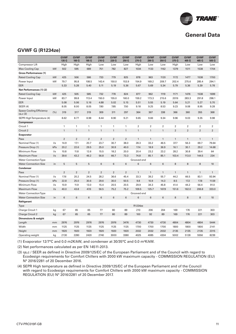

# **General Data**

### **GVWF G (R1234ze)**

|                                     |                         | <b>GVWF</b><br>135 G | <b>GVWF</b><br>160 G | <b>GVWF</b><br>185 G | <b>GVWF</b><br>210 G | <b>GVWF</b><br>220 G | <b>GVWF</b><br>250 G | <b>GVWF</b><br>270 G | <b>GVWF</b><br>290 G | <b>GVWF</b><br>350 G | <b>GVWF</b><br>375 G | <b>GVWF</b><br>405 G | <b>GVWF</b><br>465 G | <b>GVWF</b><br>505 G |
|-------------------------------------|-------------------------|----------------------|----------------------|----------------------|----------------------|----------------------|----------------------|----------------------|----------------------|----------------------|----------------------|----------------------|----------------------|----------------------|
| Compressor Lift                     |                         | High                 | High                 | High                 | Low                  | Low                  | Low                  | High                 | Low                  | Low                  | High                 | Low                  | Low                  | Low                  |
| Max Cooling Cap                     | kW                      | 502                  | 595                  | 689                  | 751                  | 782                  | 827                  | 1034                 | 1133                 | 1162                 | 1379                 | 1511                 | 1538                 | 1704                 |
| <b>Gross Performances (1)</b>       |                         |                      |                      |                      |                      |                      |                      |                      |                      |                      |                      |                      |                      |                      |
| <b>Rated Cooling Cap</b>            | kW                      | 425                  | 506                  | 586                  | 733                  | 779                  | 825                  | 878                  | 963                  | 1120                 | 1172                 | 1477                 | 1538                 | 1700                 |
| Power Input                         | kW                      | 79.7                 | 95.8                 | 108.5                | 143.4                | 150.0                | 153.9                | 154.9                | 169.2                | 209.7                | 202.4                | 275.6                | 285.4                | 294.1                |
| EER                                 |                         | 5.33                 | 5.28                 | 5.40                 | 5.11                 | 5.19                 | 5.36                 | 5.67                 | 5.69                 | 5.34                 | 5.79                 | 5.36                 | 5.39                 | 5.78                 |
| Net Performances (1) (2)            |                         |                      |                      |                      |                      |                      |                      |                      |                      |                      |                      |                      |                      |                      |
| <b>Rated Cooling Cap</b>            | kW                      | 425                  | 505                  | 585                  | 732                  | 778                  | 824                  | 877                  | 962                  | 1119                 | 1171                 | 1476                 | 1538                 | 1699                 |
| Power Input                         | kW                      | 83.7                 | 99.8                 | 113.4                | 150.0                | 155.0                | 160.0                | 159.2                | 173.3                | 215.6                | 207.6                | 283.3                | 291.8                | 298.1                |
| EER                                 |                         | 5.08                 | 5.06                 | 5.16                 | 4.88                 | 5.02                 | 5.15                 | 5.51                 | 5.55                 | 5.19                 | 5.64                 | 5.21                 | 5.27                 | 5.70                 |
| <b>SEER (4)</b>                     |                         | 8.05                 | 8.00                 | 8.05                 | 7.80                 | 7.85                 | 7.50                 | 9.18                 | 9.25                 | 8.53                 | 9.23                 | 9.08                 | 8.95                 | 9.28                 |
| Space Cooling Efficiency<br>ns,c(3) | (% )                    | 319                  | 317                  | 319                  | 309                  | 311                  | 297                  | 364                  | 367                  | 338                  | 366                  | 360                  | 355                  | 368                  |
| SEPR High Temperature (4)           |                         | 8.62                 | 8.77                 | 8.98                 | 8.44                 | 8.90                 | 9.21                 | 9.65                 | 9.66                 | 9.34                 | 9.96                 | 9.03                 | 9.35                 | 9.98                 |
| <b>Compressor</b>                   |                         |                      |                      |                      |                      |                      |                      |                      |                      |                      |                      |                      |                      |                      |
| Circuit 1                           |                         | 1                    | $\mathbf{1}$         | $\mathbf{1}$         | $\mathbf{1}$         | $\mathbf{1}$         | $\mathbf{1}$         | $\overline{2}$       | $\overline{2}$       | $\overline{2}$       | 2                    | $\overline{2}$       | $\overline{2}$       | $\overline{2}$       |
| Circuit 2                           |                         | $\mathbf{1}$         | $\mathbf{1}$         | $\mathbf{1}$         | $\mathbf{1}$         | $\mathbf{1}$         | $\mathbf{1}$         | $\mathbf{1}$         | $\mathbf{1}$         | $\mathbf{1}$         | $\overline{2}$       | $\overline{2}$       | $\overline{2}$       | $\overline{2}$       |
| Evaporator                          |                         |                      |                      |                      |                      |                      |                      |                      |                      |                      |                      |                      |                      |                      |
| Pass                                |                         | $\overline{2}$       | $\overline{2}$       | $\overline{2}$       | $\overline{2}$       | $\overline{2}$       | $\overline{2}$       | $\mathbf{1}$         | $\mathbf{1}$         | $\mathbf{1}$         | $\mathbf{1}$         | $\mathbf{1}$         | $\mathbf{1}$         | $\mathbf{1}$         |
| Nominal Flow (1)                    | $\mathsf{l}/\mathsf{s}$ | 14.9                 | 17.1                 | 20.7                 | 23.7                 | 30.7                 | 38.0                 | 28.3                 | 33.2                 | 46.5                 | 37.7                 | 56.3                 | 69.7                 | 79.64                |
| Pressure Drop (1)                   | kPa                     | 20.2                 | 22.6                 | 29.5                 | 25.0                 | 30.9                 | 40.0                 | 17.4                 | 18.9                 | 36.9                 | 16.1                 | 30.1                 | 29.2                 | 14.68                |
| Minimum Flow                        | $\sqrt{s}$              | 10.8                 | 11.8                 | 12.6                 | 15.5                 | 18.2                 | 20.0                 | 20.4                 | 23.2                 | 23.2                 | 28.2                 | 30.8                 | 39.4                 | 64                   |
| Maximum Flow                        | $\frac{1}{s}$           | 39.6                 | 43.2                 | 46.2                 | 56.8                 | 66.7                 | 73.3                 | 74.8                 | 85.1                 | 85.1                 | 103.4                | 113.0                | 144.5                | 234                  |
| <b>Water Connection Type</b>        |                         |                      |                      |                      |                      |                      |                      | Grooved end          |                      |                      |                      |                      |                      |                      |
| <b>Water Connection Size</b>        | in                      | 5                    | 5                    | 5                    | 6                    | 6                    | 6                    | $6\phantom{1}6$      | 6                    | $6\phantom{1}6$      | 8                    | 8                    | 8                    | 10                   |
| <b>Condenser</b>                    |                         |                      |                      |                      |                      |                      |                      |                      |                      |                      |                      |                      |                      |                      |
| Pass                                |                         | $\overline{2}$       | $\overline{2}$       | $\overline{2}$       | $\overline{2}$       | 2                    | $\overline{2}$       | $\mathbf{1}$         | $\mathbf{1}$         | $\mathbf{1}$         | $\mathbf{1}$         | $\mathbf{1}$         | $\mathbf{1}$         | $\mathbf{1}$         |
| Nominal Flow (1)                    | $\mathsf{l}/\mathsf{s}$ | 17.6                 | 20.2                 | 24.5                 | 28.2                 | 36.6                 | 45.4                 | 33.3                 | 39.2                 | 55.7                 | 44.2                 | 66.5                 | 83.1                 | 93.94                |
| Pressure Drop (1)                   | kPa                     | 22.8                 | 25.0                 | 30.6                 | 29.6                 | 30.0                 | 50.5                 | 9.8                  | 10.9                 | 14.3                 | 8.5                  | 17.2                 | 17.8                 | 11.59                |
| Minimum Flow                        | $\frac{1}{s}$           | 10.9                 | 11.9                 | 13.0                 | 15.4                 | 20.5                 | 20.5                 | 29.9                 | 34.3                 | 45.8                 | 41.4                 | 44.2                 | 56.4                 | 91.0                 |
| <b>Maximum Flow</b>                 | $\sqrt{s}$              | 40.0                 | 43.8                 | 47.6                 | 56.5                 | 75.2                 | 75.2                 | 109.5                | 125.7                | 167.9                | 151.6                | 162.0                | 206.8                | 333.0                |
| <b>Water Connection Type</b>        |                         |                      |                      |                      |                      |                      |                      | Grooved end          |                      |                      |                      |                      |                      |                      |
| <b>Water Connection Size</b>        | in                      | 6                    | 6                    | 6                    | $\,6\,$              | 6                    | 6                    | $6\phantom{a}$       | 6                    | $\,6\,$              | 8                    | 8                    | 8                    | 10                   |
| Refrigerant                         |                         |                      |                      |                      |                      |                      |                      |                      |                      |                      |                      |                      |                      |                      |
| Type                                |                         |                      |                      |                      |                      |                      |                      | R1234ze              |                      |                      |                      |                      |                      |                      |
| Charge Circuit 1                    | kg                      | 67                   | 65                   | 65                   | 77                   | 80                   | 89                   | 210                  | 206                  | 204                  | 169                  | 176                  | 221                  | 303                  |
| Charge Circuit 2                    | kg                      | 67                   | 65                   | 65                   | 77                   | 80                   | 89                   | 100                  | 92                   | 89                   | 169                  | 176                  | 221                  | 303                  |
| Dimensions & weight                 |                         |                      |                      |                      |                      |                      |                      |                      |                      |                      |                      |                      |                      |                      |
| Length                              | mm                      | 2976                 | 2976                 | 2976                 | 2976                 | 2976                 | 3476                 | 4730                 | 4730                 | 4730                 | 4804                 | 4804                 | 4804                 | 5444                 |
| Width                               | mm                      | 1125                 | 1125                 | 1125                 | 1125                 | 1125                 | 1125                 | 1700                 | 1700                 | 1700                 | 1800                 | 1800                 | 1800                 | 2141                 |
| Height                              | mm                      | 1920                 | 1920                 | 1920                 | 1920                 | 1920                 | 1920                 | 2032                 | 2032                 | 2032                 | 2135                 | 2135                 | 2135                 | 2315                 |
| Operating weight                    | kg                      | 2130                 | 2280                 | 2420                 | 2740                 | 3000                 | 3380                 | 4025                 | 4085                 | 4304                 | 5002                 | 5128                 | 5556                 | 8239                 |
|                                     |                         |                      |                      |                      |                      |                      |                      |                      |                      |                      |                      |                      |                      |                      |

(1) Evaporator 12/7°C and 0.0 m2K/kW, and condenser at 30/35°C and 0.0 m²K/kW.

(2) Net performances calculated as per EN 14511-2013.

(3) ηs,c / SEER as defined in Directive 2009/125/EC of the European Parliament and of the Council with regard to Ecodesign requirements for Comfort Chillers with 2000 kW maximum capacity - COMMISSION REGULATION (EU) N° 2016/2281 of 20 December 2016.

(4) SEPR High temperature as defined in Directive 2009/125/EC of the European Parliament and of the Council with regard to Ecodesign requirements for Comfort Chillers with 2000 kW maximum capacity - COMMISSION REGULATION (EU) N° 2016/2281 of 20 December 2017.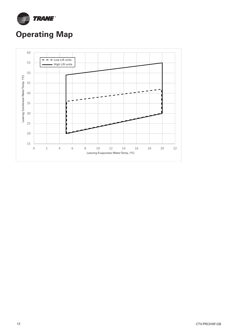

# **Operating Map**

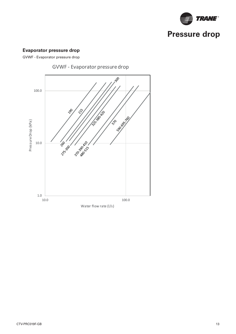

## **Evaporator pressure drop**

GVWF - Evaporator pressure drop



GVWF - Evaporator pressure drop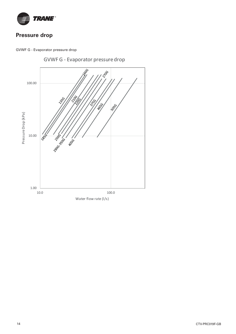

# **Pressure drop**



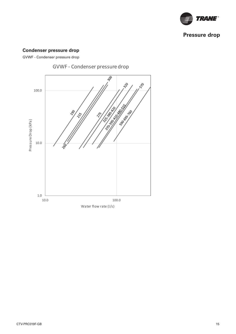

# **Pressure drop**

## **Condenser pressure drop**

GVWF - Condenser pressure drop



GVWF - Condenser pressure drop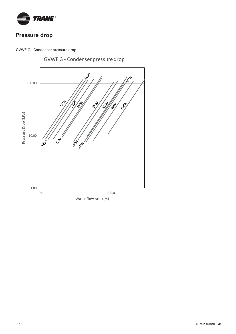

# **Pressure drop**



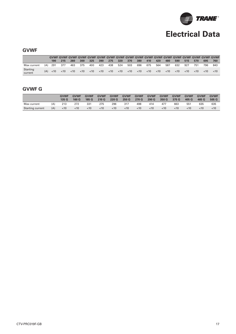

## **GVWF**

|                     |     | 190. | 215   | 260 | 300  | 325  | 390  | 275 | 320 | 370                         | 380 | 410  | 420                  | 480 | 590 | 515  | 570  | 695     | 760     |
|---------------------|-----|------|-------|-----|------|------|------|-----|-----|-----------------------------|-----|------|----------------------|-----|-----|------|------|---------|---------|
| Max current         | (A) | 291  | - 377 | 463 | -375 | 400  | 423  | 438 | 524 | 503                         | 696 | 675  | 564                  | 587 | 632 | 927  | 751  | 796     | 843     |
| Starting<br>current |     | <10  | ~10   | <10 | <10  | < 10 | < 10 |     |     | $< 10$ $< 10$ $< 10$ $< 10$ |     | < 10 | $< 10$ $< 10$ $< 10$ |     |     | < 10 | < 10 | $~<$ 10 | $~<$ 10 |

## **GVWF G**

|                         |     | <b>GVWF</b><br>135 G | <b>GVWF</b><br>160 G | <b>GVWF</b><br>185 G | <b>GVWF</b><br>210 <sub>G</sub> | <b>GVWF</b><br>220 G | <b>GVWF</b><br>250 G | <b>GVWF</b><br>270 G | <b>GVWF</b><br>290 G | <b>GVWF</b><br>350 G | <b>GVWF</b><br>375 G | <b>GVWF</b><br>405 G | <b>GVWF</b><br>465 G | <b>GVWF</b><br>505 G |
|-------------------------|-----|----------------------|----------------------|----------------------|---------------------------------|----------------------|----------------------|----------------------|----------------------|----------------------|----------------------|----------------------|----------------------|----------------------|
| Max current             | (A) | 213                  | 272                  | 331                  | 275                             | 296                  | 317                  | 498                  | 414                  | 477                  | 663                  | 551                  | 635                  | 635                  |
| <b>Starting current</b> | (A) | $<$ 10               | $<$ 10               | $<$ 10               | < 10                            | $<$ 10               | $<$ 10               | $<$ 10               | $<$ 10               | < 10                 | <10                  | ~10                  | $<$ 10               | <10                  |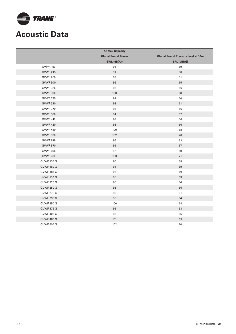

# **Acoustic Data**

|                   | <b>At Max Capacity</b>    |                                           |
|-------------------|---------------------------|-------------------------------------------|
|                   | <b>Global Sound Power</b> | <b>Global Sound Pressure level at 10m</b> |
|                   | SWL (dB(A))               | $SPL$ ( $dB(A)$ )                         |
| <b>GVWF 190</b>   | 91                        | 59                                        |
| <b>GVWF 215</b>   | 91                        | 60                                        |
| <b>GVWF 260</b>   | 93                        | 61                                        |
| <b>GVWF 300</b>   | 96                        | 65                                        |
| <b>GVWF 325</b>   | 98                        | 66                                        |
| <b>GVWF 390</b>   | 100                       | 68                                        |
| <b>GVWF 275</b>   | 92                        | 60                                        |
| <b>GVWF 320</b>   | 93                        | 61                                        |
| <b>GVWF 370</b>   | 98                        | 66                                        |
| <b>GVWF 380</b>   | 94                        | 62                                        |
| <b>GVWF 410</b>   | 98                        | 66                                        |
| <b>GVWF 420</b>   | 98                        | 66                                        |
| <b>GVWF 480</b>   | 100                       | 68                                        |
| <b>GVWF 590</b>   | 102                       | 70                                        |
| <b>GVWF 515</b>   | 96                        | 63                                        |
| <b>GVWF 570</b>   | 99                        | 67                                        |
| <b>GVWF 695</b>   | 101                       | 69                                        |
| <b>GVWF 760</b>   | 103                       | 71                                        |
| <b>GVWF 135 G</b> | 90                        | 58                                        |
| <b>GVWF 160 G</b> | 91                        | 59                                        |
| <b>GVWF 185 G</b> | 92                        | 60                                        |
| <b>GVWF 210 G</b> | 95                        | 63                                        |
| <b>GVWF 220 G</b> | 96                        | 64                                        |
| <b>GVWF 250 G</b> | 98                        | 66                                        |
| <b>GVWF 270 G</b> | 93                        | 61                                        |
| <b>GVWF 290 G</b> | 96                        | 64                                        |
| <b>GVWF 350 G</b> | 100                       | 68                                        |
| <b>GVWF 375 G</b> | 95                        | 63                                        |
| <b>GVWF 405 G</b> | 98                        | 65                                        |
| <b>GVWF 465 G</b> | 101                       | 69                                        |
| GVWF 505 G        | 102                       | 70                                        |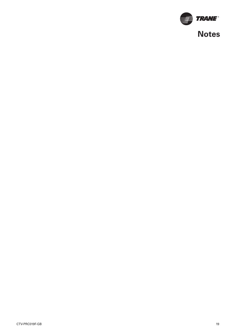